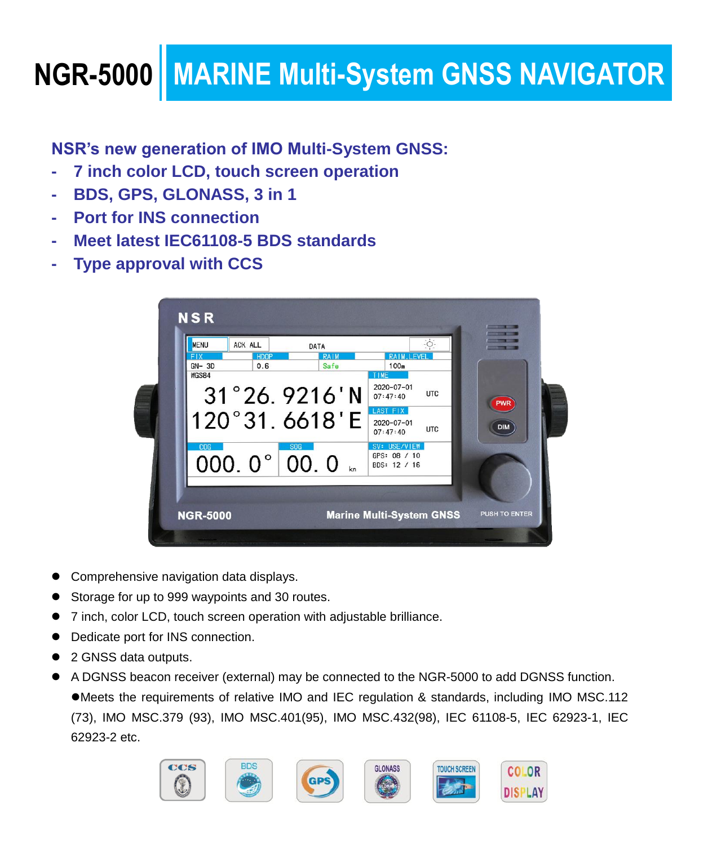## **NGR-5000 MARINE Multi-System GNSS NAVIGATOR**

**NSR's new generation of IMO Multi-System GNSS:**

- **7 inch color LCD, touch screen operation**
- **BDS, GPS, GLONASS, 3 in 1**
- **Port for INS connection**
- **Meet latest IEC61108-5 BDS standards**
- **Type approval with CCS**

| <b>MENU</b><br>ACK ALL<br><b>FIX</b><br><b>HDOP</b> | DATA<br>RAIM | ÷ò-<br><b>RAIM.LEVEL</b>                               |            |
|-----------------------------------------------------|--------------|--------------------------------------------------------|------------|
| $GN-3D$<br>0.6<br>WGS84                             | Safe         | 100m<br>TIME                                           |            |
| $31^{\circ}26.9216$ 'N                              |              | 2020-07-01<br><b>UTC</b><br>07:47:40                   | PWR        |
| 120°31.6618'E                                       |              | LAST FIX<br>$2020 - 07 - 01$<br><b>UTC</b><br>07:47:40 | <b>DIM</b> |
| cog<br>000. $0^{\circ}$ 00. 0                       | <b>SOG</b>   | SV: USE/VIEW<br>GPS: 08 / 10<br>BDS: 12 / 16           |            |
|                                                     |              |                                                        |            |

- Comprehensive navigation data displays.
- Storage for up to 999 waypoints and 30 routes.
- 7 inch, color LCD, touch screen operation with adjustable brilliance.
- Dedicate port for INS connection.
- 2 GNSS data outputs.
- A DGNSS beacon receiver (external) may be connected to the NGR-5000 to add DGNSS function. Meets the requirements of relative IMO and IEC regulation & standards, including IMO MSC.112 (73), IMO MSC.379 (93), IMO MSC.401(95), IMO MSC.432(98), IEC 61108-5, IEC 62923-1, IEC 62923-2 etc.